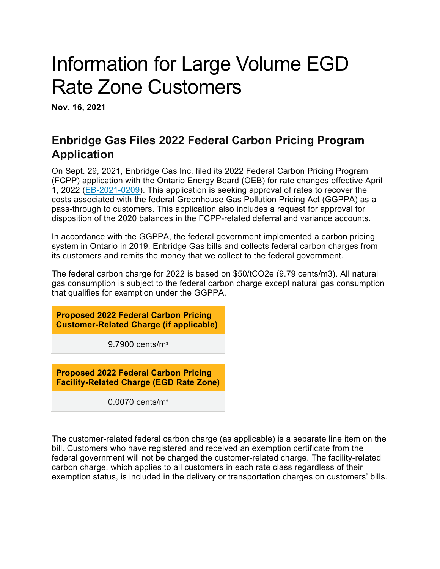# Information for Large Volume EGD Rate Zone Customers

**Nov. 16, 2021**

# **Enbridge Gas Files 2022 Federal Carbon Pricing Program Application**

On Sept. 29, 2021, Enbridge Gas Inc. filed its 2022 Federal Carbon Pricing Program (FCPP) application with the Ontario Energy Board (OEB) for rate changes effective April 1, 2022 [\(EB-2021-0209\)](https://www.enbridgegas.com/about-enbridge-gas/regulatory). This application is seeking approval of rates to recover the costs associated with the federal Greenhouse Gas Pollution Pricing Act (GGPPA) as a pass-through to customers. This application also includes a request for approval for disposition of the 2020 balances in the FCPP-related deferral and variance accounts.

In accordance with the GGPPA, the federal government implemented a carbon pricing system in Ontario in 2019. Enbridge Gas bills and collects federal carbon charges from its customers and remits the money that we collect to the federal government.

The federal carbon charge for 2022 is based on \$50/tCO2e (9.79 cents/m3). All natural gas consumption is subject to the federal carbon charge except natural gas consumption that qualifies for exemption under the GGPPA.

**Proposed 2022 Federal Carbon Pricing Customer-Related Charge (if applicable)**

9.7900 cents/m3

**Proposed 2022 Federal Carbon Pricing Facility-Related Charge (EGD Rate Zone)**

0.0070 cents/m3

The customer-related federal carbon charge (as applicable) is a separate line item on the bill. Customers who have registered and received an exemption certificate from the federal government will not be charged the customer-related charge. The facility-related carbon charge, which applies to all customers in each rate class regardless of their exemption status, is included in the delivery or transportation charges on customers' bills.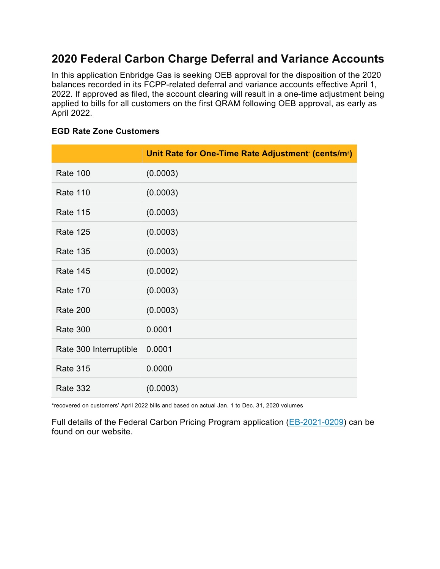## **2020 Federal Carbon Charge Deferral and Variance Accounts**

In this application Enbridge Gas is seeking OEB approval for the disposition of the 2020 balances recorded in its FCPP-related deferral and variance accounts effective April 1, 2022. If approved as filed, the account clearing will result in a one-time adjustment being applied to bills for all customers on the first QRAM following OEB approval, as early as April 2022.

## **EGD Rate Zone Customers**

|                        | Unit Rate for One-Time Rate Adjustment' (cents/m <sup>3</sup> ) |
|------------------------|-----------------------------------------------------------------|
| <b>Rate 100</b>        | (0.0003)                                                        |
| <b>Rate 110</b>        | (0.0003)                                                        |
| <b>Rate 115</b>        | (0.0003)                                                        |
| <b>Rate 125</b>        | (0.0003)                                                        |
| <b>Rate 135</b>        | (0.0003)                                                        |
| <b>Rate 145</b>        | (0.0002)                                                        |
| <b>Rate 170</b>        | (0.0003)                                                        |
| <b>Rate 200</b>        | (0.0003)                                                        |
| <b>Rate 300</b>        | 0.0001                                                          |
| Rate 300 Interruptible | 0.0001                                                          |
| <b>Rate 315</b>        | 0.0000                                                          |
| <b>Rate 332</b>        | (0.0003)                                                        |

\*recovered on customers' April 2022 bills and based on actual Jan. 1 to Dec. 31, 2020 volumes

Full details of the Federal Carbon Pricing Program application [\(EB-2021-0209\)](https://www.enbridgegas.com/about-enbridge-gas/regulatory) can be found on our website.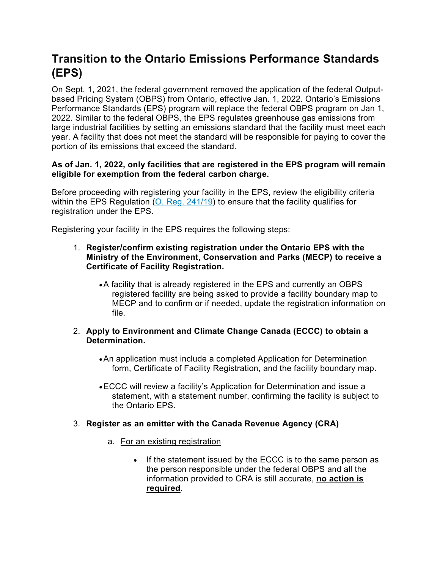# **Transition to the Ontario Emissions Performance Standards (EPS)**

On Sept. 1, 2021, the federal government removed the application of the federal Outputbased Pricing System (OBPS) from Ontario, effective Jan. 1, 2022. Ontario's Emissions Performance Standards (EPS) program will replace the federal OBPS program on Jan 1, 2022. Similar to the federal OBPS, the EPS regulates greenhouse gas emissions from large industrial facilities by setting an emissions standard that the facility must meet each year. A facility that does not meet the standard will be responsible for paying to cover the portion of its emissions that exceed the standard.

## **As of Jan. 1, 2022, only facilities that are registered in the EPS program will remain eligible for exemption from the federal carbon charge.**

Before proceeding with registering your facility in the EPS, review the eligibility criteria within the EPS Regulation [\(O. Reg. 241/19\)](https://www.ontario.ca/laws/regulation/r19241) to ensure that the facility qualifies for registration under the EPS.

Registering your facility in the EPS requires the following steps:

#### 1. **Register/confirm existing registration under the Ontario EPS with the Ministry of the Environment, Conservation and Parks (MECP) to receive a Certificate of Facility Registration.**

•A facility that is already registered in the EPS and currently an OBPS registered facility are being asked to provide a facility boundary map to MECP and to confirm or if needed, update the registration information on file.

#### 2. **Apply to Environment and Climate Change Canada (ECCC) to obtain a Determination.**

- •An application must include a completed Application for Determination form, Certificate of Facility Registration, and the facility boundary map.
- •ECCC will review a facility's Application for Determination and issue a statement, with a statement number, confirming the facility is subject to the Ontario EPS.

## 3. **Register as an emitter with the Canada Revenue Agency (CRA)**

- a. For an existing registration
	- If the statement issued by the ECCC is to the same person as the person responsible under the federal OBPS and all the information provided to CRA is still accurate, **no action is required.**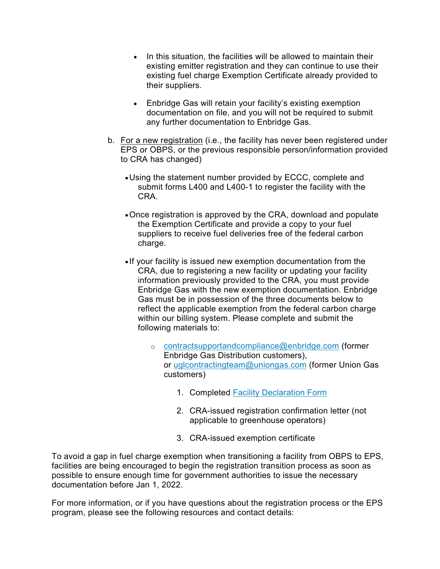- In this situation, the facilities will be allowed to maintain their existing emitter registration and they can continue to use their existing fuel charge Exemption Certificate already provided to their suppliers.
- Enbridge Gas will retain your facility's existing exemption documentation on file, and you will not be required to submit any further documentation to Enbridge Gas.
- b. For a new registration (i.e., the facility has never been registered under EPS or OBPS, or the previous responsible person/information provided to CRA has changed)
	- •Using the statement number provided by ECCC, complete and submit forms L400 and L400-1 to register the facility with the CRA.
	- •Once registration is approved by the CRA, download and populate the Exemption Certificate and provide a copy to your fuel suppliers to receive fuel deliveries free of the federal carbon charge.
	- If your facility is issued new exemption documentation from the CRA, due to registering a new facility or updating your facility information previously provided to the CRA, you must provide Enbridge Gas with the new exemption documentation. Enbridge Gas must be in possession of the three documents below to reflect the applicable exemption from the federal carbon charge within our billing system. Please complete and submit the following materials to:
		- o [contractsupportandcompliance@enbridge.com](mailto:contractsupportandcompliance@enbridge.com) (former Enbridge Gas Distribution customers), or [uglcontractingteam@uniongas.com](mailto:uglcontractingteam@uniongas.com) (former Union Gas customers)
			- 1. Completed [Facility Declaration Form](https://www.enbridgegas.com/-/media/Extranet-Pages/Business-and-industrial/Commercial-and-Industrial/Large-Volume-Rates-and-Services/Federal-Carbon-Pricing/Facility-Declaration-Form.ashx?rev=41f2018cd2ba4cd48dc7eea81745c0c2&hash=20FBABB68C746BEB65B4B891ADF47121)
			- 2. CRA-issued registration confirmation letter (not applicable to greenhouse operators)
			- 3. CRA-issued exemption certificate

To avoid a gap in fuel charge exemption when transitioning a facility from OBPS to EPS, facilities are being encouraged to begin the registration transition process as soon as possible to ensure enough time for government authorities to issue the necessary documentation before Jan 1, 2022.

For more information, or if you have questions about the registration process or the EPS program, please see the following resources and contact details: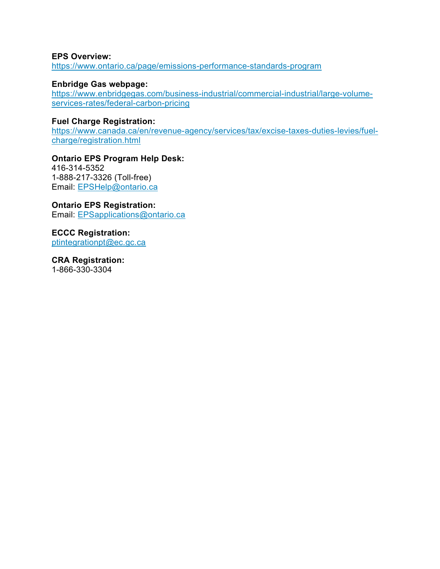#### **EPS Overview:**

<https://www.ontario.ca/page/emissions-performance-standards-program>

#### **Enbridge Gas webpage:**

[https://www.enbridgegas.com/business-industrial/commercial-industrial/large-volume](https://www.enbridgegas.com/business-industrial/commercial-industrial/large-volume-services-rates/federal-carbon-pricing)[services-rates/federal-carbon-pricing](https://www.enbridgegas.com/business-industrial/commercial-industrial/large-volume-services-rates/federal-carbon-pricing)

#### **Fuel Charge Registration:**

[https://www.canada.ca/en/revenue-agency/services/tax/excise-taxes-duties-levies/fuel](https://www.canada.ca/en/revenue-agency/services/tax/excise-taxes-duties-levies/fuel-charge/registration.html)[charge/registration.html](https://www.canada.ca/en/revenue-agency/services/tax/excise-taxes-duties-levies/fuel-charge/registration.html)

#### **Ontario EPS Program Help Desk:**

416-314-5352 1-888-217-3326 (Toll-free) Email: [EPSHelp@ontario.ca](mailto:EPSHelp@ontario.ca)

## **Ontario EPS Registration:**

Email: [EPSapplications@ontario.ca](mailto:EPSapplications@ontario.ca)

**ECCC Registration:** [ptintegrationpt@ec.gc.ca](mailto:ptintegrationpt@ec.gc.ca)

**CRA Registration:** 1-866-330-3304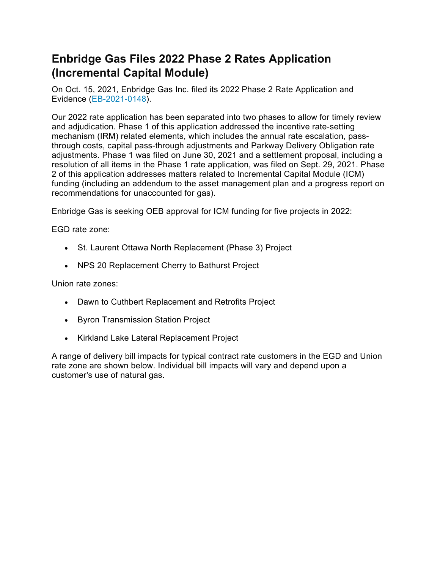# **Enbridge Gas Files 2022 Phase 2 Rates Application (Incremental Capital Module)**

On Oct. 15, 2021, Enbridge Gas Inc. filed its 2022 Phase 2 Rate Application and Evidence [\(EB-2021-0148\)](https://www.enbridgegas.com/about-enbridge-gas/regulatory).

Our 2022 rate application has been separated into two phases to allow for timely review and adjudication. Phase 1 of this application addressed the incentive rate-setting mechanism (IRM) related elements, which includes the annual rate escalation, passthrough costs, capital pass-through adjustments and Parkway Delivery Obligation rate adjustments. Phase 1 was filed on June 30, 2021 and a settlement proposal, including a resolution of all items in the Phase 1 rate application, was filed on Sept. 29, 2021. Phase 2 of this application addresses matters related to Incremental Capital Module (ICM) funding (including an addendum to the asset management plan and a progress report on recommendations for unaccounted for gas).

Enbridge Gas is seeking OEB approval for ICM funding for five projects in 2022:

EGD rate zone:

- St. Laurent Ottawa North Replacement (Phase 3) Project
- NPS 20 Replacement Cherry to Bathurst Project

Union rate zones:

- Dawn to Cuthbert Replacement and Retrofits Project
- Byron Transmission Station Project
- Kirkland Lake Lateral Replacement Project

A range of delivery bill impacts for typical contract rate customers in the EGD and Union rate zone are shown below. Individual bill impacts will vary and depend upon a customer's use of natural gas.